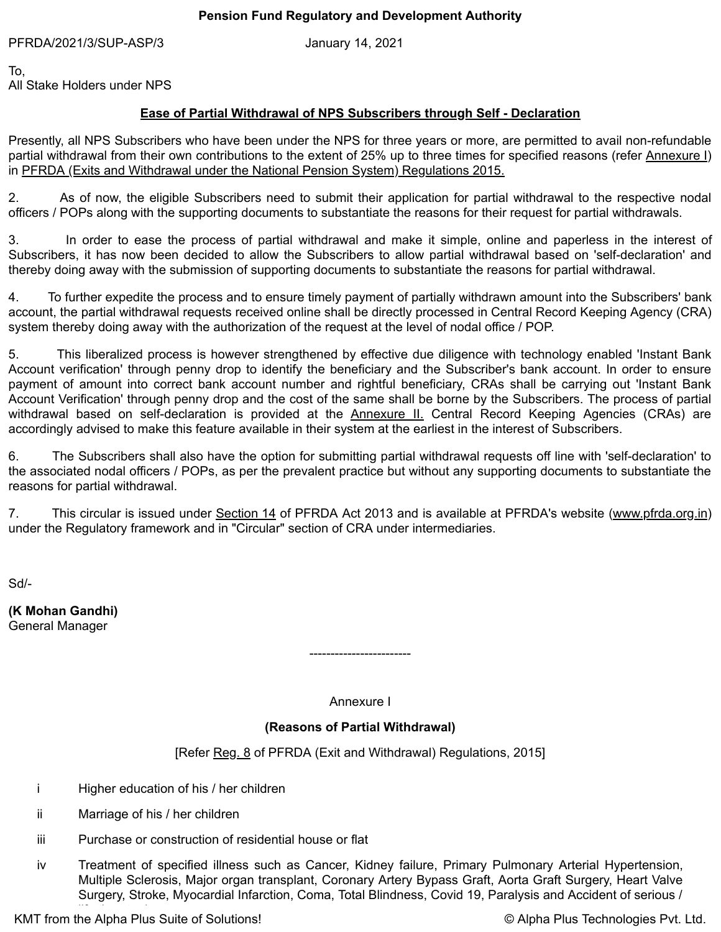PFRDA/2021/3/SUP-ASP/3 January 14, 2021

To, All Stake Holders under NPS

## **Ease of Partial Withdrawal of NPS Subscribers through Self - Declaration**

Presently, all NPS Subscribers who have been under the NPS for three years or more, are permitted to avail non-refundable partial withdrawal from their own contributions to the extent of 25% up to three times for specified reasons (refer [Annexure I\)](http://compliance/kmtnet/GetDocument.aspx?PageRef=regulator/pfrda/pfrda/pfrda314-01-2021.htm#ann1) in [PFRDA \(Exits and Withdrawal under the National Pension System\) Regulations 2015.](http://compliance/kmtnet/GetDocument.aspx?PageRef=pfrda/pfrda_ewnpsreg_15_29-09-2020.htm)

2. As of now, the eligible Subscribers need to submit their application for partial withdrawal to the respective nodal officers / POPs along with the supporting documents to substantiate the reasons for their request for partial withdrawals.

3. In order to ease the process of partial withdrawal and make it simple, online and paperless in the interest of Subscribers, it has now been decided to allow the Subscribers to allow partial withdrawal based on 'self-declaration' and thereby doing away with the submission of supporting documents to substantiate the reasons for partial withdrawal.

4. To further expedite the process and to ensure timely payment of partially withdrawn amount into the Subscribers' bank account, the partial withdrawal requests received online shall be directly processed in Central Record Keeping Agency (CRA) system thereby doing away with the authorization of the request at the level of nodal office / POP.

5. This liberalized process is however strengthened by effective due diligence with technology enabled 'Instant Bank Account verification' through penny drop to identify the beneficiary and the Subscriber's bank account. In order to ensure payment of amount into correct bank account number and rightful beneficiary, CRAs shall be carrying out 'Instant Bank Account Verification' through penny drop and the cost of the same shall be borne by the Subscribers. The process of partial withdrawal based on self-declaration is provided at the [Annexure II.](http://compliance/kmtnet/GetDocument.aspx?PageRef=regulator/pfrda/pfrda/pfrda314-01-2021.htm#ann2) Central Record Keeping Agencies (CRAs) are accordingly advised to make this feature available in their system at the earliest in the interest of Subscribers.

6. The Subscribers shall also have the option for submitting partial withdrawal requests off line with 'self-declaration' to the associated nodal officers / POPs, as per the prevalent practice but without any supporting documents to substantiate the reasons for partial withdrawal.

7. This circular is issued under [Section 14](http://compliance/kmtnet/GetDocument.aspx?PageRef=pfrda/pfrdact13_19-12-2019.htm#14) of PFRDA Act 2013 and is available at PFRDA's website ([www.pfrda.org.in](http://www.pfrda.org.in/)) under the Regulatory framework and in "Circular" section of CRA under intermediaries.

Sd/-

**(K Mohan Gandhi)** General Manager

Annexure I

------------------------

## **(Reasons of Partial Withdrawal)**

[Refer [Reg. 8](http://compliance/kmtnet/GetDocument.aspx?PageRef=pfrda/pfrda_ewnpsreg_15_20-09-2019.htm#8) of PFRDA (Exit and Withdrawal) Regulations, 2015]

- i Higher education of his / her children
- ii Marriage of his / her children
- iii Purchase or construction of residential house or flat
- iv Treatment of specified illness such as Cancer, Kidney failure, Primary Pulmonary Arterial Hypertension, Multiple Sclerosis, Major organ transplant, Coronary Artery Bypass Graft, Aorta Graft Surgery, Heart Valve Surgery, Stroke, Myocardial Infarction, Coma, Total Blindness, Covid 19, Paralysis and Accident of serious /

life threatening. KMT from the Alpha Plus Suite of Solutions! [© Alpha Plus Technologies Pvt. Ltd.](http://www.alphaplustech.com/)